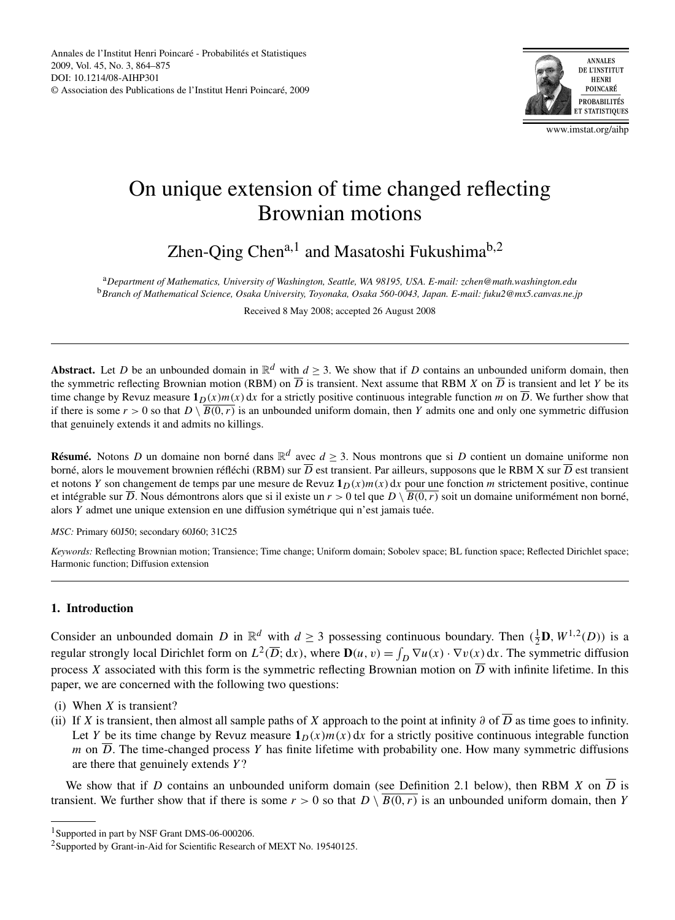

www.imstat.org/aihp

# On unique extension of time changed reflecting Brownian motions

Zhen-Qing Chen<sup>a,1</sup> and Masatoshi Fukushima<sup>b,2</sup>

<sup>a</sup>*Department of Mathematics, University of Washington, Seattle, WA 98195, USA. E-mail: zchen@math.washington.edu* <sup>b</sup>*Branch of Mathematical Science, Osaka University, Toyonaka, Osaka 560-0043, Japan. E-mail: fuku2@mx5.canvas.ne.jp*

Received 8 May 2008; accepted 26 August 2008

**Abstract.** Let *D* be an unbounded domain in  $\mathbb{R}^d$  with  $d > 3$ . We show that if *D* contains an unbounded uniform domain, then the symmetric reflecting Brownian motion (RBM) on  $\overline{D}$  is transient. Next assume that RBM *X* on  $\overline{D}$  is transient and let *Y* be its time change by Revuz measure  $\mathbf{1}_D(x)m(x)$  dx for a strictly positive continuous integrable function *m* on  $\overline{D}$ . We further show that if there is some  $r > 0$  so that  $D \setminus \overline{B(0, r)}$  is an unbounded uniform domain, then *Y* admits one and only one symmetric diffusion that genuinely extends it and admits no killings.

**Résumé.** Notons *D* un domaine non borné dans R*<sup>d</sup>* avec *d* ≥ 3. Nous montrons que si *D* contient un domaine uniforme non borné, alors le mouvement brownien réfléchi (RBM) sur *D* est transient. Par ailleurs, supposons que le RBM X sur *D* est transient et notons *Y* son changement de temps par une mesure de Revuz  $1_D(x)m(x) dx$  pour une fonction *m* strictement positive, continue et intégrable sur  $\overline{D}$ . Nous démontrons alors que si il existe un  $r > 0$  tel que  $D \setminus \overline{B(0,r)}$  soit un domaine uniformément non borné, alors *Y* admet une unique extension en une diffusion symétrique qui n'est jamais tuée.

*MSC:* Primary 60J50; secondary 60J60; 31C25

*Keywords:* Reflecting Brownian motion; Transience; Time change; Uniform domain; Sobolev space; BL function space; Reflected Dirichlet space; Harmonic function; Diffusion extension

## **1. Introduction**

Consider an unbounded domain *D* in  $\mathbb{R}^d$  with  $d \geq 3$  possessing continuous boundary. Then  $(\frac{1}{2}\mathbf{D}, W^{1,2}(D))$  is a regular strongly local Dirichlet form on  $L^2(\overline{D}; dx)$ , where  $\mathbf{D}(u, v) = \int_D \nabla u(x) \cdot \nabla v(x) dx$ . The symmetric diffusion process *X* associated with this form is the symmetric reflecting Brownian motion on  $\overline{D}$  with infinite lifetime. In this paper, we are concerned with the following two questions:

- (i) When *X* is transient?
- (ii) If *X* is transient, then almost all sample paths of *X* approach to the point at infinity  $\partial$  of  $\overline{D}$  as time goes to infinity. Let *Y* be its time change by Revuz measure  $\mathbf{1}_D(x)m(x) dx$  for a strictly positive continuous integrable function *m* on  $\overline{D}$ . The time-changed process *Y* has finite lifetime with probability one. How many symmetric diffusions are there that genuinely extends *Y* ?

We show that if *D* contains an unbounded uniform domain (see Definition 2.1 below), then RBM *X* on  $\overline{D}$  is transient. We further show that if there is some  $r > 0$  so that  $D \setminus \overline{B(0,r)}$  is an unbounded uniform domain, then *Y* 

<sup>&</sup>lt;sup>1</sup>Supported in part by NSF Grant DMS-06-000206.

<sup>2</sup>Supported by Grant-in-Aid for Scientific Research of MEXT No. 19540125.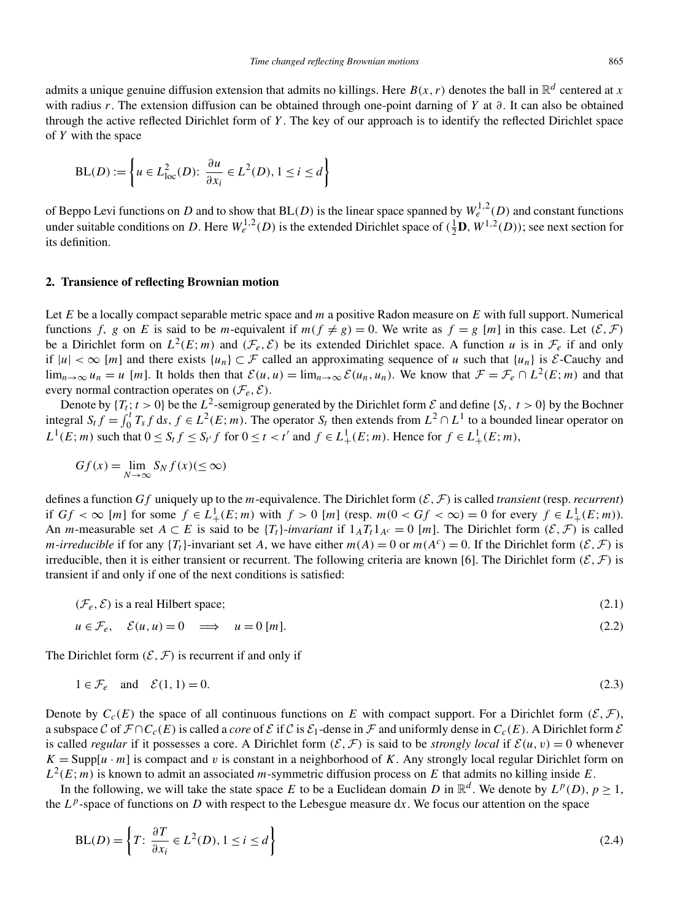admits a unique genuine diffusion extension that admits no killings. Here  $B(x, r)$  denotes the ball in  $\mathbb{R}^d$  centered at *x* with radius *r*. The extension diffusion can be obtained through one-point darning of *Y* at *∂.* It can also be obtained through the active reflected Dirichlet form of *Y* . The key of our approach is to identify the reflected Dirichlet space of *Y* with the space

$$
BL(D) := \left\{ u \in L_{loc}^2(D) : \frac{\partial u}{\partial x_i} \in L^2(D), 1 \le i \le d \right\}
$$

of Beppo Levi functions on *D* and to show that BL(*D*) is the linear space spanned by  $W_e^{1,2}(D)$  and constant functions under suitable conditions on *D*. Here  $W_e^{1,2}(D)$  is the extended Dirichlet space of  $(\frac{1}{2}\mathbf{D}, W^{1,2}(D))$ ; see next section for its definition.

### **2. Transience of reflecting Brownian motion**

Let *E* be a locally compact separable metric space and *m* a positive Radon measure on *E* with full support. Numerical functions *f, g* on *E* is said to be *m*-equivalent if  $m(f \neq g) = 0$ . We write as  $f = g[m]$  in this case. Let  $(\mathcal{E}, \mathcal{F})$ be a Dirichlet form on  $L^2(E; m)$  and  $(\mathcal{F}_e, \mathcal{E})$  be its extended Dirichlet space. A function *u* is in  $\mathcal{F}_e$  if and only if  $|u| < \infty$  [*m*] and there exists  $\{u_n\} \subset \mathcal{F}$  called an approximating sequence of *u* such that  $\{u_n\}$  is  $\mathcal{E}$ -Cauchy and lim<sub>n→∞</sub>  $u_n = u$  [*m*]. It holds then that  $\mathcal{E}(u, u) = \lim_{n \to \infty} \mathcal{E}(u_n, u_n)$ . We know that  $\mathcal{F} = \mathcal{F}_e \cap L^2(E; m)$  and that every normal contraction operates on  $(\mathcal{F}_e, \mathcal{E})$ .

Denote by  ${T_t$ ;  $t > 0$ } be the *L*<sup>2</sup>-semigroup generated by the Dirichlet form *E* and define  ${S_t, t > 0}$  by the Bochner integral  $S_t f = \int_0^t T_s f ds$ ,  $f \in L^2(E; m)$ . The operator  $S_t$  then extends from  $L^2 \cap L^1$  to a bounded linear operator on  $L^1(E; m)$  such that  $0 \leq S_t f \leq S_{t'} f$  for  $0 \leq t < t'$  and  $f \in L^1_+(E; m)$ . Hence for  $f \in L^1_+(E; m)$ ,

$$
Gf(x) = \lim_{N \to \infty} S_N f(x) (\le \infty)
$$

defines a function *Gf* uniquely up to the *m*-equivalence. The Dirichlet form  $(\mathcal{E}, \mathcal{F})$  is called *transient* (resp. *recurrent*) if *Gf* < ∞ [*m*] for some  $f \in L^1_+(E; m)$  with  $f > 0$  [*m*] (resp.  $m(0 < Gf < ∞) = 0$  for every  $f \in L^1_+(E; m)$ ). An *m*-measurable set  $A \subset E$  is said to be  $\{T_t\}$ -invariant if  $1_A T_t 1_{A^c} = 0$  [*m*]. The Dirichlet form  $(\mathcal{E}, \mathcal{F})$  is called *m*-*irreducible* if for any  $\{T_t\}$ -invariant set *A*, we have either  $m(A) = 0$  or  $m(A^c) = 0$ . If the Dirichlet form  $(\mathcal{E}, \mathcal{F})$  is irreducible, then it is either transient or recurrent. The following criteria are known [6]. The Dirichlet form  $(\mathcal{E}, \mathcal{F})$  is transient if and only if one of the next conditions is satisfied:

$$
(\mathcal{F}_e, \mathcal{E})
$$
 is a real Hilbert space; (2.1)

$$
u \in \mathcal{F}_e, \quad \mathcal{E}(u, u) = 0 \quad \Longrightarrow \quad u = 0 \, [m]. \tag{2.2}
$$

The Dirichlet form  $(\mathcal{E}, \mathcal{F})$  is recurrent if and only if

$$
1 \in \mathcal{F}_e \quad \text{and} \quad \mathcal{E}(1, 1) = 0. \tag{2.3}
$$

Denote by  $C_c(E)$  the space of all continuous functions on *E* with compact support. For a Dirichlet form  $(\mathcal{E}, \mathcal{F})$ , a subspace C of  $\mathcal{F} \cap C_c(E)$  is called a *core* of  $\mathcal{E}$  if C is  $\mathcal{E}_1$ -dense in  $\mathcal{F}$  and uniformly dense in  $C_c(E)$ . A Dirichlet form  $\mathcal{E}$ is called *regular* if it possesses a core. A Dirichlet form  $(\mathcal{E}, \mathcal{F})$  is said to be *strongly local* if  $\mathcal{E}(u, v) = 0$  whenever  $K = \text{Supp}[u \cdot m]$  is compact and *v* is constant in a neighborhood of *K*. Any strongly local regular Dirichlet form on  $L^2(E; m)$  is known to admit an associated *m*-symmetric diffusion process on *E* that admits no killing inside *E*.

In the following, we will take the state space *E* to be a Euclidean domain *D* in  $\mathbb{R}^d$ . We denote by  $L^p(D)$ ,  $p \ge 1$ , the  $L^p$ -space of functions on *D* with respect to the Lebesgue measure dx. We focus our attention on the space

$$
BL(D) = \left\{ T : \frac{\partial T}{\partial x_i} \in L^2(D), 1 \le i \le d \right\}
$$
\n(2.4)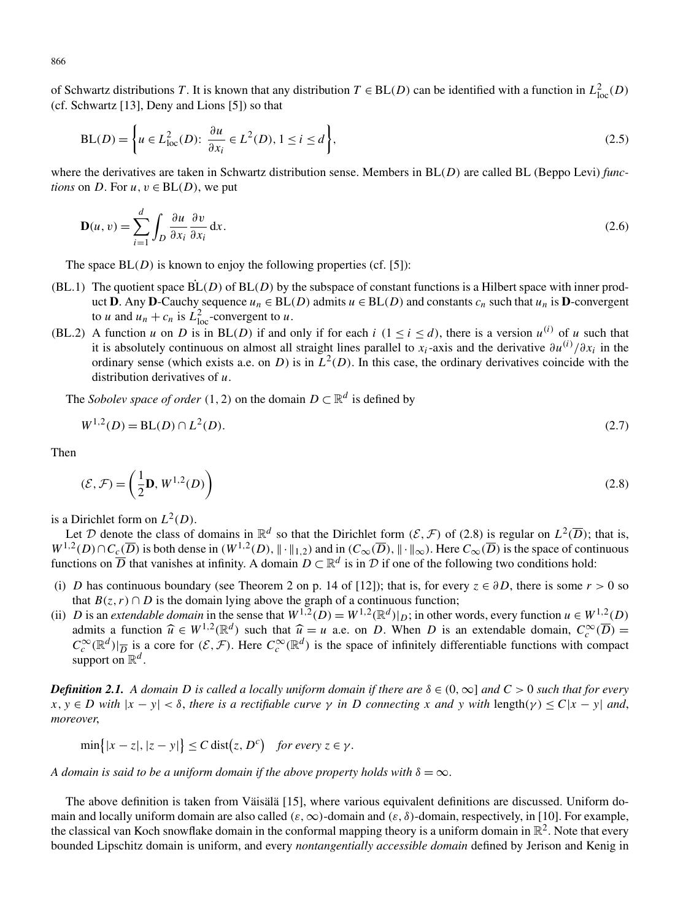of Schwartz distributions *T*. It is known that any distribution  $T \in BL(D)$  can be identified with a function in  $L^2_{loc}(D)$ (cf. Schwartz [13], Deny and Lions [5]) so that

$$
BL(D) = \left\{ u \in L_{loc}^2(D) : \frac{\partial u}{\partial x_i} \in L^2(D), 1 \le i \le d \right\},\tag{2.5}
$$

where the derivatives are taken in Schwartz distribution sense. Members in BL(D) are called BL (Beppo Levi) *functions* on *D*. For  $u, v \in BL(D)$ , we put

$$
\mathbf{D}(u,v) = \sum_{i=1}^{d} \int_{D} \frac{\partial u}{\partial x_i} \frac{\partial v}{\partial x_i} dx.
$$
 (2.6)

The space  $BL(D)$  is known to enjoy the following properties (cf. [5]):

- $(BL.1)$  The quotient space  $B<sub>L</sub>(D)$  of  $B<sub>L</sub>(D)$  by the subspace of constant functions is a Hilbert space with inner product **D***.* Any **D**-Cauchy sequence  $u_n \in BL(D)$  admits  $u \in BL(D)$  and constants  $c_n$  such that  $u_n$  is **D**-convergent to *u* and  $u_n + c_n$  is  $L^2_{loc}$ -convergent to *u*.
- (BL.2) A function *u* on *D* is in BL(*D*) if and only if for each *i* ( $1 \le i \le d$ ), there is a version  $u^{(i)}$  of *u* such that it is absolutely continuous on almost all straight lines parallel to *x<sub>i</sub>*-axis and the derivative  $\frac{\partial u^{(i)}}{\partial x_i}$  in the ordinary sense (which exists a.e. on *D*) is in  $L^2(D)$ . In this case, the ordinary derivatives coincide with the distribution derivatives of *u.*

The *Sobolev space of order* (1, 2) on the domain  $D \subset \mathbb{R}^d$  is defined by

$$
W^{1,2}(D) = BL(D) \cap L^2(D). \tag{2.7}
$$

Then

$$
(\mathcal{E}, \mathcal{F}) = \left(\frac{1}{2}\mathbf{D}, W^{1,2}(D)\right)
$$
\n(2.8)

is a Dirichlet form on  $L^2(D)$ .

Let D denote the class of domains in  $\mathbb{R}^d$  so that the Dirichlet form  $(\mathcal{E}, \mathcal{F})$  of (2.8) is regular on  $L^2(\overline{D})$ ; that is,  $W^{1,2}(D) \cap C_c(\overline{D})$  is both dense in  $(W^{1,2}(D), \|\cdot\|_{1,2})$  and in  $(C_\infty(\overline{D}), \|\cdot\|_\infty)$ . Here  $C_\infty(\overline{D})$  is the space of continuous functions on  $\overline{D}$  that vanishes at infinity. A domain  $D \subset \mathbb{R}^d$  is in  $\mathcal D$  if one of the following two conditions hold:

- (i) *D* has continuous boundary (see Theorem 2 on p. 14 of [12]); that is, for every  $z \in \partial D$ , there is some  $r > 0$  so that  $B(z, r) \cap D$  is the domain lying above the graph of a continuous function;
- (ii) *D* is an *extendable domain* in the sense that  $W^{1,2}(D) = W^{1,2}(\mathbb{R}^d)|_D$ ; in other words, every function  $u \in W^{1,2}(D)$ admits a function  $\widehat{u} \in W^{1,2}(\mathbb{R}^d)$  such that  $\widehat{u} = u$  a.e. on *D*. When *D* is an extendable domain,  $C_c^\infty(\overline{D}) = C_c^\infty(\mathbb{R}^d)$  is a seen for  $(C_c, \mathcal{D})$ . Here  $C_c^\infty(\mathbb{R}^d)$  is the gauge of infinitely diff  $C_c^{\infty}(\mathbb{R}^d)$   $|_{\overline{D}}$  is a core for  $(\mathcal{E}, \mathcal{F})$ . Here  $C_c^{\infty}(\mathbb{R}^d)$  is the space of infinitely differentiable functions with compact support on  $\mathbb{R}^d$ .

*Definition 2.1.* A domain *D* is called a locally uniform domain if there are  $\delta \in (0, \infty]$  and  $C > 0$  such that for every  $x, y \in D$  with  $|x - y| < \delta$ , there is a rectifiable curve  $\gamma$  in D connecting x and y with length $(\gamma) \le C|x - y|$  and, *moreover*,

$$
\min\{|x-z|, |z-y|\} \le C \operatorname{dist}(z, D^c) \quad \text{for every } z \in \gamma.
$$

*A domain is said to be a uniform domain if the above property holds with*  $\delta = \infty$ .

The above definition is taken from Väisälä [15], where various equivalent definitions are discussed. Uniform domain and locally uniform domain are also called *(ε,*∞*)*-domain and *(ε,δ)*-domain, respectively, in [10]. For example, the classical van Koch snowflake domain in the conformal mapping theory is a uniform domain in  $\mathbb{R}^2$ . Note that every bounded Lipschitz domain is uniform, and every *nontangentially accessible domain* defined by Jerison and Kenig in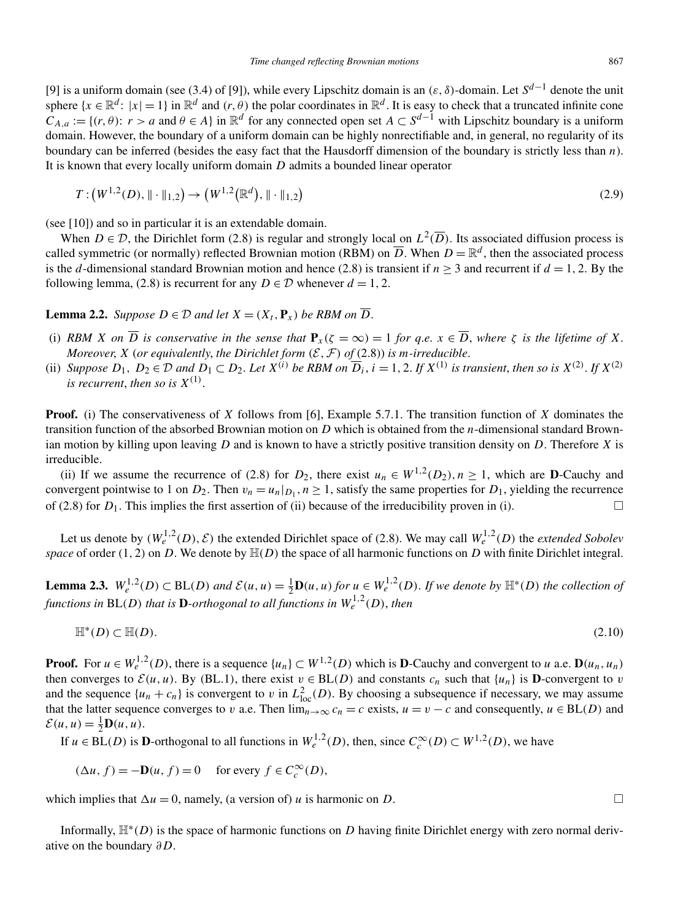[9] is a uniform domain (see (3.4) of [9]), while every Lipschitz domain is an *(ε,δ)*-domain. Let *Sd*−<sup>1</sup> denote the unit sphere  $\{x \in \mathbb{R}^d : |x| = 1\}$  in  $\mathbb{R}^d$  and  $(r, \theta)$  the polar coordinates in  $\mathbb{R}^d$ . It is easy to check that a truncated infinite cone  $C_{A,a} := \{(r, \theta): r > a \text{ and } \theta \in A\}$  in  $\mathbb{R}^d$  for any connected open set  $A \subset S^{d-1}$  with Lipschitz boundary is a uniform domain. However, the boundary of a uniform domain can be highly nonrectifiable and, in general, no regularity of its boundary can be inferred (besides the easy fact that the Hausdorff dimension of the boundary is strictly less than *n*). It is known that every locally uniform domain *D* admits a bounded linear operator

$$
T: (W^{1,2}(D), \|\cdot\|_{1,2}) \to (W^{1,2}(\mathbb{R}^d), \|\cdot\|_{1,2})
$$
\n(2.9)

(see [10]) and so in particular it is an extendable domain.

When  $D \in \mathcal{D}$ , the Dirichlet form (2.8) is regular and strongly local on  $L^2(\overline{D})$ . Its associated diffusion process is called symmetric (or normally) reflected Brownian motion (RBM) on  $\overline{D}$ . When  $D = \mathbb{R}^d$ , then the associated process is the *d*-dimensional standard Brownian motion and hence (2.8) is transient if  $n > 3$  and recurrent if  $d = 1, 2$ . By the following lemma, (2.8) is recurrent for any  $D \in \mathcal{D}$  whenever  $d = 1, 2$ .

**Lemma 2.2.** *Suppose*  $D \in \mathcal{D}$  *and let*  $X = (X_t, \mathbf{P}_x)$  *be RBM on*  $\overline{D}$ *.* 

- (i) RBM X on  $\overline{D}$  is conservative in the sense that  $P_x(\zeta = \infty) = 1$  for q.e.  $x \in \overline{D}$ , where  $\zeta$  is the lifetime of X. *Moreover, X (or equivalently, the Dirichlet form*  $(\mathcal{E}, \mathcal{F})$  *of (2.8)) is <i>m*-irreducible.
- (ii) Suppose  $D_1$ ,  $D_2 \in \mathcal{D}$  and  $D_1 \subset D_2$ . Let  $X^{(i)}$  be RBM on  $\overline{D}_i$ ,  $i = 1, 2$ . If  $X^{(1)}$  is transient, then so is  $X^{(2)}$ . If  $X^{(2)}$ *is recurrent, then so is*  $X^{(1)}$ .

**Proof.** (i) The conservativeness of *X* follows from [6], Example 5.7.1. The transition function of *X* dominates the transition function of the absorbed Brownian motion on *D* which is obtained from the *n*-dimensional standard Brownian motion by killing upon leaving *D* and is known to have a strictly positive transition density on *D.* Therefore *X* is irreducible.

(ii) If we assume the recurrence of (2.8) for  $D_2$ , there exist  $u_n \in W^{1,2}(D_2)$ ,  $n \ge 1$ , which are **D**-Cauchy and convergent pointwise to 1 on  $D_2$ . Then  $v_n = u_n|_{D_1}$ ,  $n \ge 1$ , satisfy the same properties for  $D_1$ , yielding the recurrence of (2.8) for  $D_1$ . This implies the first assertion of (ii) because of the irreducibility proven in (i).

Let us denote by  $(W_e^{1,2}(D), \mathcal{E})$  the extended Dirichlet space of (2.8). We may call  $W_e^{1,2}(D)$  the *extended Sobolev space* of order (1, 2) on *D*. We denote by  $H(D)$  the space of all harmonic functions on *D* with finite Dirichlet integral.

**Lemma 2.3.**  $W_e^{1,2}(D) \subset BL(D)$  and  $\mathcal{E}(u, u) = \frac{1}{2}D(u, u)$  for  $u \in W_e^{1,2}(D)$ . If we denote by  $\mathbb{H}^*(D)$  the collection of *functions in*  $BL(D)$  *that is* **D**-orthogonal to all functions in  $W_e^{1,2}(D)$ , *then* 

$$
\mathbb{H}^*(D) \subset \mathbb{H}(D). \tag{2.10}
$$

**Proof.** For  $u \in W_e^{1,2}(D)$ , there is a sequence  $\{u_n\} \subset W^{1,2}(D)$  which is **D**-Cauchy and convergent to *u* a.e.  $\mathbf{D}(u_n, u_n)$ then converges to  $\mathcal{E}(u, u)$ . By *(BL.1)*, there exist  $v \in BL(D)$  and constants  $c_n$  such that  $\{u_n\}$  is **D**-convergent to *v* and the sequence  $\{u_n + c_n\}$  is convergent to *v* in  $L^2_{loc}(D)$ . By choosing a subsequence if necessary, we may assume that the latter sequence converges to *v* a.e. Then  $\lim_{n\to\infty} c_n = c$  exists,  $u = v - c$  and consequently,  $u \in BL(D)$  and  $\mathcal{E}(u, u) = \frac{1}{2}\mathbf{D}(u, u).$ 

If  $u \in BL(D)$  is **D**-orthogonal to all functions in  $W_e^{1,2}(D)$ , then, since  $C_c^{\infty}(D) \subset W^{1,2}(D)$ , we have

$$
(\Delta u, f) = -\mathbf{D}(u, f) = 0 \quad \text{for every } f \in C_c^{\infty}(D),
$$

which implies that  $\Delta u = 0$ , namely, (a version of) *u* is harmonic on *D*.

Informally, H∗*(D)* is the space of harmonic functions on *D* having finite Dirichlet energy with zero normal derivative on the boundary *∂D*.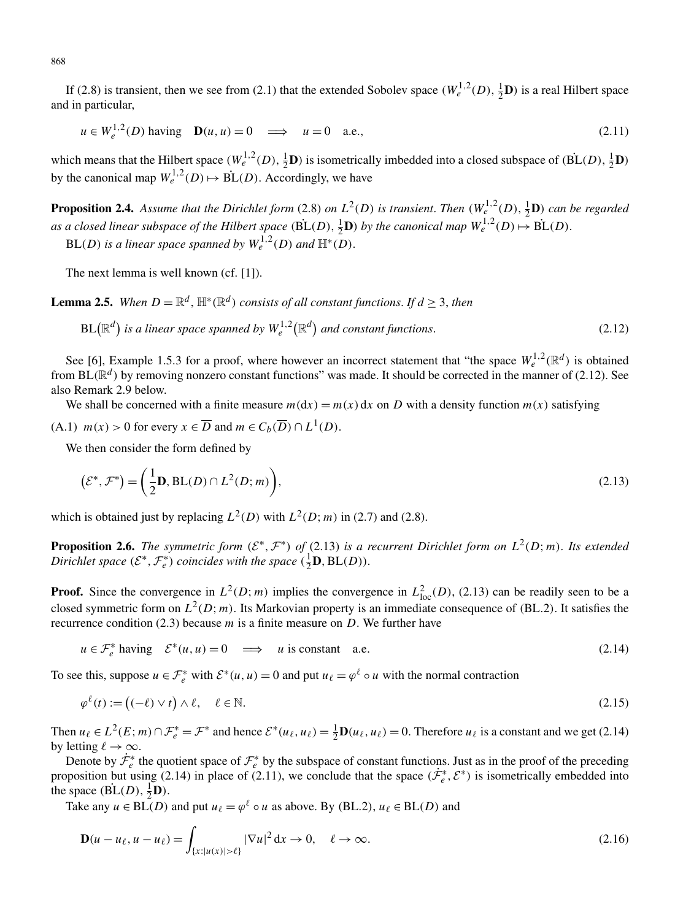If (2.8) is transient, then we see from (2.1) that the extended Sobolev space  $(W_e^{1,2}(D), \frac{1}{2}D)$  is a real Hilbert space and in particular,

 $u \in W_a^{1,2}(D)$  having  $\mathbf{D}(u, u) = 0 \implies u = 0$  a.e., (2.11)

which means that the Hilbert space  $(W_e^{1,2}(D), \frac{1}{2}D)$  is isometrically imbedded into a closed subspace of  $(\dot{BL}(D), \frac{1}{2}D)$ by the canonical map  $W_e^{1,2}(D) \mapsto \text{BL}(D)$ . Accordingly, we have

**Proposition 2.4.** Assume that the Dirichlet form (2.8) on  $L^2(D)$  is transient. Then  $(W_e^{1,2}(D), \frac{1}{2}D)$  can be regarded as a closed linear subspace of the Hilbert space  $(BL(D), \frac{1}{2}D)$  by the canonical map  $W_e^{1,2}(D) \mapsto B\dot{L}(D)$ .  $BL(D)$  *is a linear space spanned by*  $W_e^{1,2}(D)$  *and*  $\mathbb{H}^*(D)$ *.* 

The next lemma is well known (cf. [1]).

**Lemma 2.5.** *When*  $D = \mathbb{R}^d$ ,  $\mathbb{H}^*(\mathbb{R}^d)$  *consists of all constant functions. If*  $d > 3$ *, then* 

$$
BL(\mathbb{R}^d) \text{ is a linear space spanned by } W_e^{1,2}(\mathbb{R}^d) \text{ and constant functions.}
$$
 (2.12)

See [6], Example 1.5.3 for a proof, where however an incorrect statement that "the space  $W_e^{1,2}(\mathbb{R}^d)$  is obtained from BL $(\mathbb{R}^d)$  by removing nonzero constant functions" was made. It should be corrected in the manner of (2.12). See also Remark 2.9 below.

We shall be concerned with a finite measure  $m(dx) = m(x) dx$  on *D* with a density function  $m(x)$  satisfying

 $(M.1)$  *m(x)* > 0 for every  $x \in \overline{D}$  and  $m \in C_b(\overline{D}) \cap L^1(D)$ .

We then consider the form defined by

$$
\left(\mathcal{E}^*, \mathcal{F}^*\right) = \left(\frac{1}{2}\mathbf{D}, \text{BL}(D) \cap L^2(D; m)\right),\tag{2.13}
$$

which is obtained just by replacing  $L^2(D)$  with  $L^2(D; m)$  in (2.7) and (2.8).

**Proposition 2.6.** *The symmetric form*  $(\mathcal{E}^*, \mathcal{F}^*)$  *of* (2.13) *is a recurrent Dirichlet form on*  $L^2(D; m)$ *. Its extended Dirichlet space*  $(\mathcal{E}^*, \mathcal{F}^*_e)$  *coincides with the space*  $(\frac{1}{2}\mathbf{D}, \text{BL}(D))$ *.* 

**Proof.** Since the convergence in  $L^2(D; m)$  implies the convergence in  $L^2_{loc}(D)$ , (2.13) can be readily seen to be a closed symmetric form on  $L^2(D; m)$ . Its Markovian property is an immediate consequence of *(BL.2)*. It satisfies the recurrence condition (2.3) because *m* is a finite measure on *D.* We further have

$$
u \in \mathcal{F}_e^*
$$
 having  $\mathcal{E}^*(u, u) = 0 \implies u$  is constant a.e. (2.14)

To see this, suppose  $u \in \mathcal{F}_e^*$  with  $\mathcal{E}^*(u, u) = 0$  and put  $u_\ell = \varphi^\ell \circ u$  with the normal contraction

$$
\varphi^{\ell}(t) := \left( (-\ell) \vee t \right) \wedge \ell, \quad \ell \in \mathbb{N}. \tag{2.15}
$$

Then  $u_\ell \in L^2(E; m) \cap \mathcal{F}_e^* = \mathcal{F}^*$  and hence  $\mathcal{E}^*(u_\ell, u_\ell) = \frac{1}{2} \mathbf{D}(u_\ell, u_\ell) = 0$ . Therefore  $u_\ell$  is a constant and we get (2.14) by letting  $\ell \to \infty$ .

Denote by  $\dot{\mathcal{F}}_e^*$  the quotient space of  $\mathcal{F}_e^*$  by the subspace of constant functions. Just as in the proof of the preceding proposition but using (2.14) in place of (2.11), we conclude that the space  $(\dot{\mathcal{F}}_e^*, \mathcal{E}^*)$  is isometrically embedded into the space  $(\dot{\text{BL}}(D), \frac{1}{2}\mathbf{D})$ .

Take any  $u \in BL(D)$  and put  $u_\ell = \varphi^\ell \circ u$  as above. By *(BL.2)*,  $u_\ell \in BL(D)$  and

$$
\mathbf{D}(u - u_{\ell}, u - u_{\ell}) = \int_{\{x : |u(x)| > \ell\}} |\nabla u|^2 \, \mathrm{d}x \to 0, \quad \ell \to \infty. \tag{2.16}
$$

868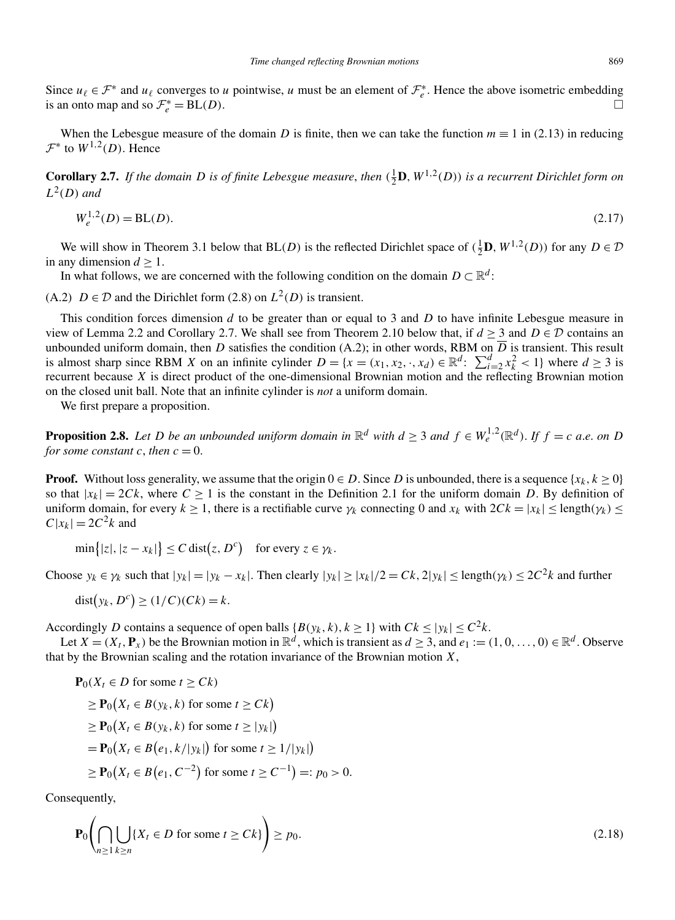Since  $u_\ell \in \mathcal{F}^*$  and  $u_\ell$  converges to *u* pointwise, *u* must be an element of  $\mathcal{F}_e^*$ . Hence the above isometric embedding is an onto map and so  $\mathcal{F}_e^* = BL(D)$ .

When the Lebesgue measure of the domain *D* is finite, then we can take the function  $m \equiv 1$  in (2.13) in reducing  $\mathcal{F}^*$  to  $W^{1,2}(D)$ . Hence

**Corollary 2.7.** If the domain D is of finite Lebesgue measure, then  $(\frac{1}{2}\mathbf{D}, W^{1,2}(D))$  is a recurrent Dirichlet form on  $L^2(D)$  *and* 

$$
W_e^{1,2}(D) = BL(D). \tag{2.17}
$$

We will show in Theorem 3.1 below that  $BL(D)$  is the reflected Dirichlet space of  $(\frac{1}{2}\mathbf{D}, W^{1,2}(D))$  for any  $D \in \mathcal{D}$ in any dimension  $d \geq 1$ .

In what follows, we are concerned with the following condition on the domain  $D \subset \mathbb{R}^d$ :

(A.2) *D*  $\in$  *D* and the Dirichlet form (2.8) on *L*<sup>2</sup>*(D)* is transient.

This condition forces dimension *d* to be greater than or equal to 3 and *D* to have infinite Lebesgue measure in view of Lemma 2.2 and Corollary 2.7. We shall see from Theorem 2.10 below that, if  $d \geq 3$  and  $D \in \mathcal{D}$  contains an unbounded uniform domain, then *D* satisfies the condition (A.2); in other words, RBM on  $\overline{D}$  is transient. This result is almost sharp since RBM *X* on an infinite cylinder  $D = \{x = (x_1, x_2, \cdot, x_d) \in \mathbb{R}^d: \sum_{i=2}^d x_k^2 < 1\}$  where  $d \ge 3$  is recurrent because *X* is direct product of the one-dimensional Brownian motion and the reflecting Brownian motion on the closed unit ball. Note that an infinite cylinder is *not* a uniform domain.

We first prepare a proposition.

**Proposition 2.8.** Let D be an unbounded uniform domain in  $\mathbb{R}^d$  with  $d > 3$  and  $f \in W^{1,2}_e(\mathbb{R}^d)$ . If  $f = c$  a.e. on D *for some constant c*, *then*  $c = 0$ .

**Proof.** Without loss generality, we assume that the origin  $0 \in D$ . Since *D* is unbounded, there is a sequence  $\{x_k, k \ge 0\}$ so that  $|x_k| = 2Ck$ , where  $C \ge 1$  is the constant in the Definition 2.1 for the uniform domain *D*. By definition of uniform domain, for every  $k \ge 1$ , there is a rectifiable curve  $\gamma_k$  connecting 0 and  $x_k$  with  $2Ck = |x_k| \le \text{length}(\gamma_k) \le$  $C|x_k| = 2C^2k$  and

 $\min\{|z|, |z - x_k|\} \leq C \text{ dist}(z, D^c)$  for every  $z \in \gamma_k$ .

Choose  $y_k \in \gamma_k$  such that  $|y_k| = |y_k - x_k|$ . Then clearly  $|y_k| \ge |x_k|/2 = Ck$ ,  $2|y_k| \le \text{length}(\gamma_k) \le 2C^2k$  and further

$$
dist(y_k, D^c) \ge (1/C)(Ck) = k.
$$

Accordingly *D* contains a sequence of open balls  $\{B(y_k, k), k \ge 1\}$  with  $C_k \le |y_k| \le C^2 k$ .

Let  $X = (X_t, \mathbf{P}_x)$  be the Brownian motion in  $\mathbb{R}^d$ , which is transient as  $d > 3$ , and  $e_1 := (1, 0, \ldots, 0) \in \mathbb{R}^d$ . Observe that by the Brownian scaling and the rotation invariance of the Brownian motion *X*,

$$
\mathbf{P}_0(X_t \in D \text{ for some } t \geq Ck)
$$
\n
$$
\geq \mathbf{P}_0(X_t \in B(y_k, k) \text{ for some } t \geq Ck)
$$
\n
$$
\geq \mathbf{P}_0(X_t \in B(y_k, k) \text{ for some } t \geq |y_k|)
$$
\n
$$
= \mathbf{P}_0(X_t \in B(e_1, k/|y_k|) \text{ for some } t \geq 1/|y_k|)
$$
\n
$$
\geq \mathbf{P}_0(X_t \in B(e_1, C^{-2}) \text{ for some } t \geq C^{-1}) =: p_0 > 0.
$$

Consequently,

$$
\mathbf{P}_0\left(\bigcap_{n\geq 1}\bigcup_{k\geq n}\{X_t\in D \text{ for some } t\geq Ck\}\right)\geq p_0. \tag{2.18}
$$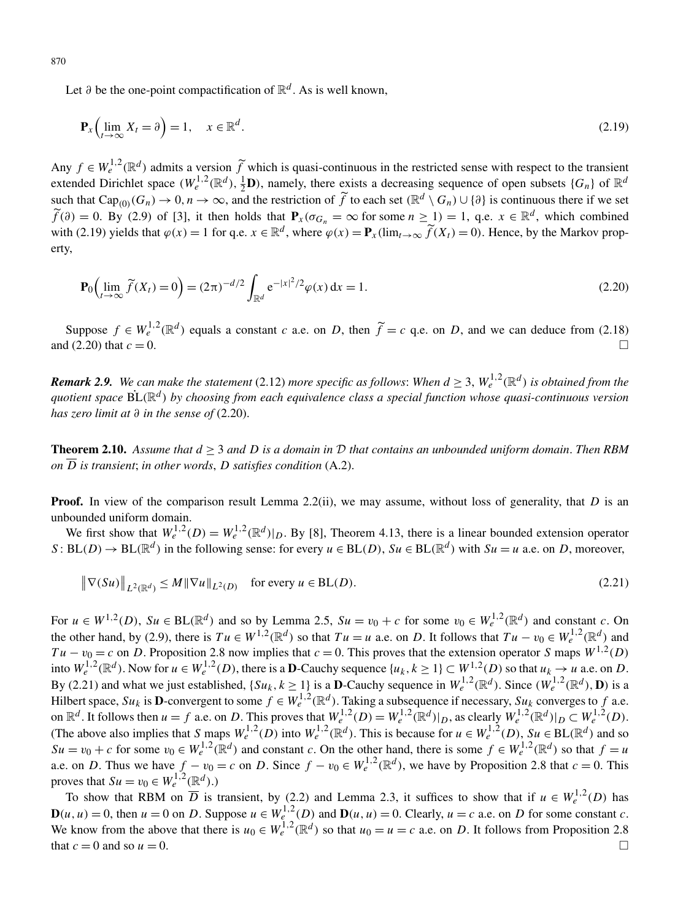Let  $\partial$  be the one-point compactification of  $\mathbb{R}^d$ . As is well known,

$$
\mathbf{P}_x \left( \lim_{t \to \infty} X_t = \partial \right) = 1, \quad x \in \mathbb{R}^d. \tag{2.19}
$$

Any  $f \in W_e^{1,2}(\mathbb{R}^d)$  admits a version  $\widetilde{f}$  which is quasi-continuous in the restricted sense with respect to the transient extended Dirichlet space  $(W_e^{1,2}(\mathbb{R}^d), \frac{1}{2}\mathbf{D})$ , namely, there exists a decreasing sequence of open subsets  $\{G_n\}$  of  $\mathbb{R}^d$ such that  $Cap_{(0)}(G_n) \to 0, n \to \infty$ , and the restriction of  $\widetilde{f}$  to each set  $(\mathbb{R}^d \setminus G_n) \cup \{\partial\}$  is continuous there if we set  $\widetilde{f}(\partial) = 0$ . By (2.9) of [3], it then holds that  $P_x(\sigma_{G_n} = \infty$  for some  $n \ge 1$ ) = 1, q.e.  $x \in \mathbb{R}^d$ , which combined with (2.19) yields that  $\varphi(x) = 1$  for q.e.  $x \in \mathbb{R}^d$ , where  $\varphi(x) = \mathbf{P}_x(\lim_{t \to \infty} \widetilde{f}(X_t) = 0)$ . Hence, by the Markov property,

$$
\mathbf{P}_0\Big(\lim_{t \to \infty} \widetilde{f}(X_t) = 0\Big) = (2\pi)^{-d/2} \int_{\mathbb{R}^d} e^{-|x|^2/2} \varphi(x) \, \mathrm{d}x = 1. \tag{2.20}
$$

Suppose  $f \in W_e^{1,2}(\mathbb{R}^d)$  equals a constant *c* a.e. on *D*, then  $\widetilde{f} = c$  q.e. on *D*, and we can deduce from (2.18) and (2.20) that  $c = 0$ .

*Remark 2.9. We can make the statement* (2.12) *more specific as follows: When*  $d > 3$ ,  $W_e^{1,2}(\mathbb{R}^d)$  *is obtained from the quotient space* BL˙ *(*R*<sup>d</sup> ) by choosing from each equivalence class a special function whose quasi-continuous version has zero limit at ∂ in the sense of* (2.20).

**Theorem 2.10.** *Assume that d* ≥ 3 *and D is a domain in* D *that contains an unbounded uniform domain*. *Then RBM on*  $\overline{D}$  *is transient; in other words, D satisfies condition* (A.2).

**Proof.** In view of the comparison result Lemma 2.2(ii), we may assume, without loss of generality, that *D* is an unbounded uniform domain.

We first show that  $W_e^{1,2}(D) = W_e^{1,2}(\mathbb{R}^d)|_D$ . By [8], Theorem 4.13, there is a linear bounded extension operator *S* : BL(*D*) → BL( $\mathbb{R}^d$ ) in the following sense: for every *u* ∈ BL(*D*), *Su* ∈ BL( $\mathbb{R}^d$ ) with *Su* = *u* a.e. on *D*, moreover,

$$
\|\nabla(Su)\|_{L^2(\mathbb{R}^d)} \le M \|\nabla u\|_{L^2(D)} \quad \text{for every } u \in \text{BL}(D). \tag{2.21}
$$

For  $u \in W^{1,2}(D)$ ,  $Su \in BL(\mathbb{R}^d)$  and so by Lemma 2.5,  $Su = v_0 + c$  for some  $v_0 \in W^{1,2}_e(\mathbb{R}^d)$  and constant c. On the other hand, by (2.9), there is  $Tu \in W^{1,2}(\mathbb{R}^d)$  so that  $Tu = u$  a.e. on D. It follows that  $Tu - v_0 \in W^{1,2}_e(\mathbb{R}^d)$  and  $Tu - v_0 = c$  on *D*. Proposition 2.8 now implies that  $c = 0$ . This proves that the extension operator *S* maps  $W^{1,2}(D)$ into  $W_e^{1,2}(\mathbb{R}^d)$ . Now for  $u \in W_e^{1,2}(D)$ , there is a **D**-Cauchy sequence  $\{u_k, k \ge 1\} \subset W^{1,2}(D)$  so that  $u_k \to u$  a.e. on D. By (2.21) and what we just established,  $\{Su_k, k \ge 1\}$  is a **D**-Cauchy sequence in  $W_e^{1,2}(\mathbb{R}^d)$ . Since  $(W_e^{1,2}(\mathbb{R}^d), \mathbf{D})$  is a Hilbert space,  $Su_k$  is **D**-convergent to some  $f \in W_e^{1,2}(\mathbb{R}^d)$ . Taking a subsequence if necessary,  $Su_k$  converges to f a.e. on  $\mathbb{R}^d$ . It follows then  $u = f$  a.e. on D. This proves that  $W_e^{1,2}(D) = W_e^{1,2}(\mathbb{R}^d)|_D$ , as clearly  $W_e^{1,2}(\mathbb{R}^d)|_D \subset W_e^{1,2}(D)$ . (The above also implies that S maps  $W_e^{1,2}(D)$  into  $W_e^{1,2}(\mathbb{R}^d)$ . This is because for  $u \in W_e^{1,2}(D)$ ,  $Su \in BL(\mathbb{R}^d)$  and so  $Su = v_0 + c$  for some  $v_0 \in W_e^{1,2}(\mathbb{R}^d)$  and constant c. On the other hand, there is some  $f \in W_e^{1,2}(\mathbb{R}^d)$  so that  $f = u$ a.e. on *D*. Thus we have  $f - v_0 = c$  on *D*. Since  $f - v_0 \in W_e^{1,2}(\mathbb{R}^d)$ , we have by Proposition 2.8 that  $c = 0$ . This proves that  $Su = v_0 \in W_e^{1,2}(\mathbb{R}^d)$ .)

To show that RBM on  $\overline{D}$  is transient, by (2.2) and Lemma 2.3, it suffices to show that if  $u \in W_e^{1,2}(D)$  has  $D(u, u) = 0$ , then  $u = 0$  on *D*. Suppose  $u \in W_e^{1,2}(D)$  and  $D(u, u) = 0$ . Clearly,  $u = c$  a.e. on *D* for some constant *c*. We know from the above that there is  $u_0 \in W_e^{1,2}(\mathbb{R}^d)$  so that  $u_0 = u = c$  a.e. on *D*. It follows from Proposition 2.8 that  $c = 0$  and so  $u = 0$ .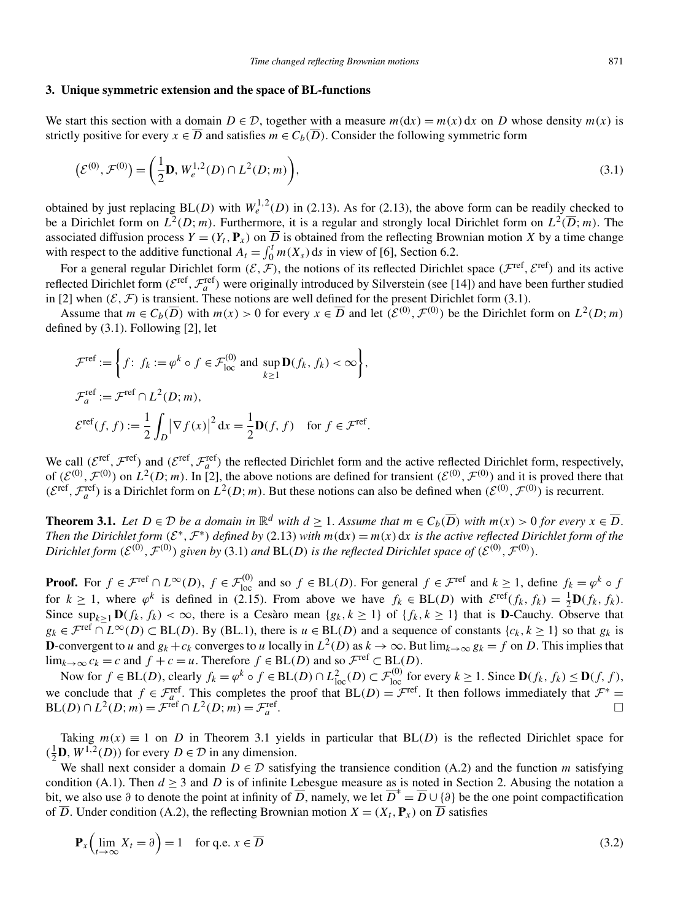#### **3. Unique symmetric extension and the space of BL-functions**

We start this section with a domain  $D \in \mathcal{D}$ , together with a measure  $m(dx) = m(x) dx$  on *D* whose density  $m(x)$  is strictly positive for every  $x \in \overline{D}$  and satisfies  $m \in C_b(\overline{D})$ . Consider the following symmetric form

$$
\left(\mathcal{E}^{(0)}, \mathcal{F}^{(0)}\right) = \left(\frac{1}{2}\mathbf{D}, W_e^{1,2}(D) \cap L^2(D; m)\right),\tag{3.1}
$$

obtained by just replacing  $BL(D)$  with  $W_e^{1,2}(D)$  in (2.13). As for (2.13), the above form can be readily checked to be a Dirichlet form on  $L^2(D; m)$ . Furthermore, it is a regular and strongly local Dirichlet form on  $L^2(\overline{D}; m)$ . The associated diffusion process  $Y = (Y_t, \mathbf{P}_x)$  on  $\overline{D}$  is obtained from the reflecting Brownian motion *X* by a time change with respect to the additive functional  $A_t = \int_0^t m(X_s) ds$  in view of [6], Section 6.2.

For a general regular Dirichlet form  $(\mathcal{E}, \mathcal{F})$ , the notions of its reflected Dirichlet space  $(\mathcal{F}^{\text{ref}}, \mathcal{E}^{\text{ref}})$  and its active reflected Dirichlet form  $(\mathcal{E}^{\text{ref}}, \mathcal{F}_a^{\text{ref}})$  were originally introduced by Silverstein (see [14]) and have been further studied in [2] when  $(\mathcal{E}, \mathcal{F})$  is transient. These notions are well defined for the present Dirichlet form (3.1).

Assume that  $m \in C_b(\overline{D})$  with  $m(x) > 0$  for every  $x \in \overline{D}$  and let  $(\mathcal{E}^{(0)}, \mathcal{F}^{(0)})$  be the Dirichlet form on  $L^2(D; m)$ defined by (3.1). Following [2], let

$$
\mathcal{F}^{\text{ref}} := \left\{ f \colon f_k := \varphi^k \circ f \in \mathcal{F}_{\text{loc}}^{(0)} \text{ and } \sup_{k \ge 1} \mathbf{D}(f_k, f_k) < \infty \right\},
$$
\n
$$
\mathcal{F}_a^{\text{ref}} := \mathcal{F}^{\text{ref}} \cap L^2(D; m),
$$
\n
$$
\mathcal{E}^{\text{ref}}(f, f) := \frac{1}{2} \int_D |\nabla f(x)|^2 \, \mathrm{d}x = \frac{1}{2} \mathbf{D}(f, f) \quad \text{for } f \in \mathcal{F}^{\text{ref}}.
$$

We call  $(\mathcal{E}^{\text{ref}}, \mathcal{F}^{\text{ref}})$  and  $(\mathcal{E}^{\text{ref}}, \mathcal{F}^{\text{ref}}_a)$  the reflected Dirichlet form and the active reflected Dirichlet form, respectively, of  $(\mathcal{E}^{(0)}, \mathcal{F}^{(0)})$  on  $L^2(D; m)$ . In [2], the above notions are defined for transient  $(\mathcal{E}^{(0)}, \mathcal{F}^{(0)})$  and it is proved there that  $(\mathcal{E}^{\text{ref}}, \mathcal{F}_a^{\text{ref}})$  is a Dirichlet form on  $L^2(D; m)$ . But these notions can also be defined when  $(\mathcal{E}^{(0)}, \mathcal{F}^{(0)})$  is recurrent.

**Theorem 3.1.** *Let*  $D \in \mathcal{D}$  *be a domain in*  $\mathbb{R}^d$  *with*  $d \ge 1$ *. Assume that*  $m \in C_b(\overline{D})$  *with*  $m(x) > 0$  *for every*  $x \in \overline{D}$ *. Then the Dirichlet form*  $(E^*, \mathcal{F}^*)$  *defined by* (2.13) *with*  $m(dx) = m(x) dx$  *is the active reflected Dirichlet form of the* Dirichlet form  $(\mathcal{E}^{(0)},\mathcal{F}^{(0)})$  given by (3.1) and  $BL(D)$  is the reflected Dirichlet space of  $(\mathcal{E}^{(0)},\mathcal{F}^{(0)})$ .

**Proof.** For  $f \in \mathcal{F}^{\text{ref}} \cap L^{\infty}(D)$ ,  $f \in \mathcal{F}_{\text{loc}}^{(0)}$  and so  $f \in BL(D)$ . For general  $f \in \mathcal{F}^{\text{ref}}$  and  $k \ge 1$ , define  $f_k = \varphi^k \circ f$ for  $k \ge 1$ , where  $\varphi^k$  is defined in (2.15). From above we have  $f_k \in BL(D)$  with  $\mathcal{E}^{\text{ref}}(f_k, f_k) = \frac{1}{2}\mathbf{D}(f_k, f_k)$ . Since  $\sup_{k>1}$  **D** $(f_k, f_k) < \infty$ , there is a Cesàro mean  $\{g_k, k \ge 1\}$  of  $\{f_k, k \ge 1\}$  that is **D**-Cauchy. Observe that  $g_k \in \mathcal{F}^{\text{ref}} \cap L^{\infty}(D) \subset BL(D)$ . By (BL.1), there is  $u \in BL(D)$  and a sequence of constants  $\{c_k, k \geq 1\}$  so that  $g_k$  is **D**-convergent to *u* and  $g_k + c_k$  converges to *u* locally in  $L^2(D)$  as  $k \to \infty$ . But lim $_{k\to\infty} g_k = f$  on *D*. This implies that lim<sub>*k*→∞</sub>  $c_k = c$  and  $f + c = u$ . Therefore  $f \in BL(D)$  and so  $\mathcal{F}^{\text{ref}} \subset BL(D)$ .

Now for  $f \in BL(D)$ , clearly  $f_k = \varphi^k \circ f \in BL(D) \cap L^2_{loc}(D) \subset \mathcal{F}_{loc}^{(0)}$  for every  $k \ge 1$ . Since  $\mathbf{D}(f_k, f_k) \le \mathbf{D}(f, f)$ , we conclude that  $f \in \mathcal{F}_{a}^{\text{ref}}$ . This completes the proof that  $BL(D) = \mathcal{F}^{\text{ref}}$ . It then follows immediately that  $\mathcal{F}^* =$  $BL(D) \cap L^2(D; m) = \mathcal{F}^{\text{ref}} \cap L^2(D; m) = \mathcal{F}_a^{\text{ref}}.$ 

Taking  $m(x) \equiv 1$  on *D* in Theorem 3.1 yields in particular that  $BL(D)$  is the reflected Dirichlet space for  $(\frac{1}{2}D, W^{1,2}(D))$  for every  $D \in \mathcal{D}$  in any dimension.

We shall next consider a domain  $D \in \mathcal{D}$  satisfying the transience condition (A.2) and the function *m* satisfying condition (A.1). Then  $d > 3$  and D is of infinite Lebesgue measure as is noted in Section 2. Abusing the notation a bit, we also use  $\partial$  to denote the point at infinity of  $\overline{D}$ , namely, we let  $\overline{D}^* = \overline{D} \cup \{\partial\}$  be the one point compactification of  $\overline{D}$ . Under condition (A.2), the reflecting Brownian motion  $X = (X_t, \mathbf{P}_x)$  on  $\overline{D}$  satisfies

$$
\mathbf{P}_x \left( \lim_{t \to \infty} X_t = \partial \right) = 1 \quad \text{for q.e. } x \in \overline{D} \tag{3.2}
$$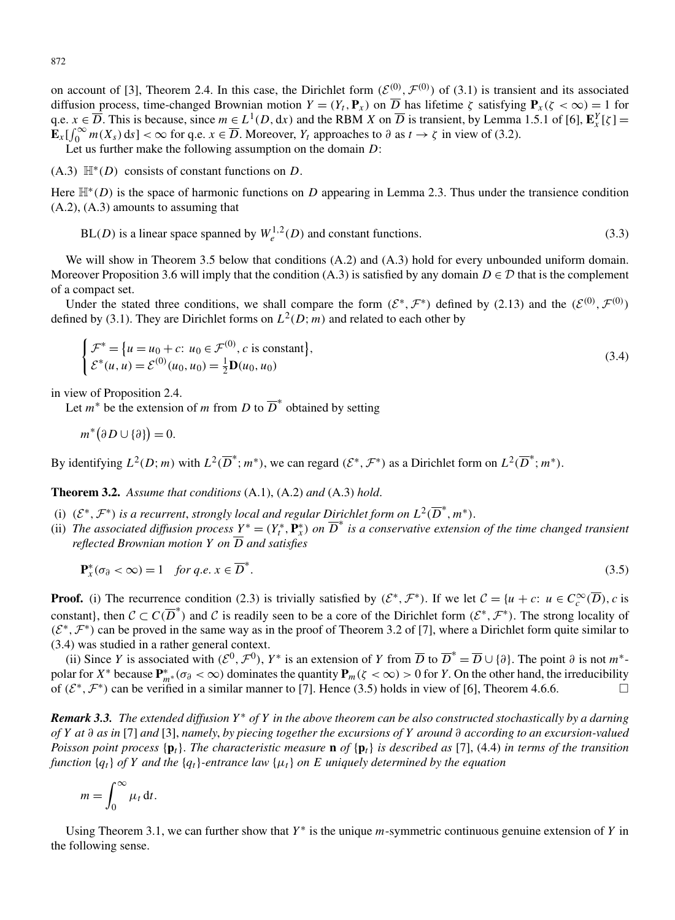on account of [3], Theorem 2.4. In this case, the Dirichlet form  $(\mathcal{E}^{(0)}, \mathcal{F}^{(0)})$  of (3.1) is transient and its associated diffusion process, time-changed Brownian motion  $Y = (Y_t, \mathbf{P}_x)$  on  $\overline{D}$  has lifetime  $\zeta$  satisfying  $\mathbf{P}_x(\zeta < \infty) = 1$  for q.e.  $x \in \overline{D}$ . This is because, since  $m \in L^1(D, dx)$  and the RBM *X* on  $\overline{D}$  is transient, by Lemma 1.5.1 of [6],  $\mathbf{E}_x^Y[\zeta] =$  $\mathbf{E}_x \left[ \int_0^\infty m(X_s) \, ds \right] < \infty$  for q.e.  $x \in \overline{D}$ . Moreover,  $Y_t$  approaches to  $\partial$  as  $t \to \zeta$  in view of (3.2).

Let us further make the following assumption on the domain *D*:

(A.3)  $\mathbb{H}^*(D)$  consists of constant functions on *D*.

Here  $\mathbb{H}^*(D)$  is the space of harmonic functions on *D* appearing in Lemma 2.3. Thus under the transience condition (A.2), (A.3) amounts to assuming that

 $BL(D)$  is a linear space spanned by  $W_e^{1,2}(D)$  and constant functions. (3.3)

We will show in Theorem 3.5 below that conditions  $(A.2)$  and  $(A.3)$  hold for every unbounded uniform domain. Moreover Proposition 3.6 will imply that the condition (A.3) is satisfied by any domain  $D \in \mathcal{D}$  that is the complement of a compact set.

Under the stated three conditions, we shall compare the form  $(\mathcal{E}^*, \mathcal{F}^*)$  defined by (2.13) and the  $(\mathcal{E}^{(0)}, \mathcal{F}^{(0)})$ defined by (3.1). They are Dirichlet forms on  $L^2(D; m)$  and related to each other by

$$
\begin{cases} \mathcal{F}^* = \{u = u_0 + c : u_0 \in \mathcal{F}^{(0)}, c \text{ is constant} \}, \\ \mathcal{E}^*(u, u) = \mathcal{E}^{(0)}(u_0, u_0) = \frac{1}{2} \mathbf{D}(u_0, u_0) \end{cases}
$$
(3.4)

in view of Proposition 2.4.

Let  $m^*$  be the extension of *m* from *D* to  $\overline{D}^*$  obtained by setting

 $m^*(\partial D \cup \{\partial\}) = 0.$ 

By identifying  $L^2(D; m)$  with  $L^2(\overline{D}^*; m^*)$ , we can regard  $(\mathcal{E}^*, \mathcal{F}^*)$  as a Dirichlet form on  $L^2(\overline{D}^*; m^*)$ .

**Theorem 3.2.** *Assume that conditions* (A.1), (A.2) *and* (A.3) *hold*.

- (i)  $(\mathcal{E}^*, \mathcal{F}^*)$  *is a recurrent, strongly local and regular Dirichlet form on*  $L^2(\overline{D}^*, m^*)$ .
- (ii) *The associated diffusion process*  $Y^* = (Y_t^*, \mathbf{P}_x^*)$  *on*  $\overline{D}^*$  *is a conservative extension of the time changed transient reflected Brownian motion Y on D and satisfies*

$$
\mathbf{P}_x^*(\sigma_\partial < \infty) = 1 \quad \text{for } q.e. \ x \in \overline{D}^* \,. \tag{3.5}
$$

**Proof.** (i) The recurrence condition (2.3) is trivially satisfied by  $(\mathcal{E}^*, \mathcal{F}^*)$ . If we let  $\mathcal{C} = \{u + c : u \in C_c^\infty(\overline{D}), c \text{ is }$ constant}, then  $C \subset C(\overline{D}^*)$  and C is readily seen to be a core of the Dirichlet form  $(\mathcal{E}^*, \mathcal{F}^*)$ . The strong locality of *(*E∗*,*F∗*)* can be proved in the same way as in the proof of Theorem 3.2 of [7], where a Dirichlet form quite similar to (3.4) was studied in a rather general context.

(ii) Since *Y* is associated with  $(\mathcal{E}^0, \mathcal{F}^0)$ ,  $Y^*$  is an extension of *Y* from  $\overline{D}$  to  $\overline{D}^* = \overline{D} \cup \{\partial\}$ . The point  $\partial$  is not  $m^*$ polar for  $X^*$  because  $P_{m^*}^*(\sigma_\partial < \infty)$  dominates the quantity  $P_m(\zeta < \infty) > 0$  for *Y*. On the other hand, the irreducibility of  $(E^*, \mathcal{F}^*)$  can be verified in a similar manner to [7]. Hence (3.5) holds in view of [6], Theorem 4.6.6.  $□$ 

*Remark 3.3. The extended diffusion Y*<sup>∗</sup> *of Y in the above theorem can be also constructed stochastically by a darning of Y at ∂ as in* [7] *and* [3], *namely*, *by piecing together the excursions of Y around ∂ according to an excursion-valued Poisson point process* {**p***t*}*. The characteristic measure* **n** *of* {**p***t*} *is described as* [7], (4.4) *in terms of the transition function* { $q_t$ } *of Y and the* { $q_t$ }*-entrance law* { $\mu_t$ } *on E uniquely determined by the equation* 

$$
m=\int_0^\infty \mu_t\,\mathrm{d}t.
$$

Using Theorem 3.1, we can further show that *Y*<sup>∗</sup> is the unique *m*-symmetric continuous genuine extension of *Y* in the following sense.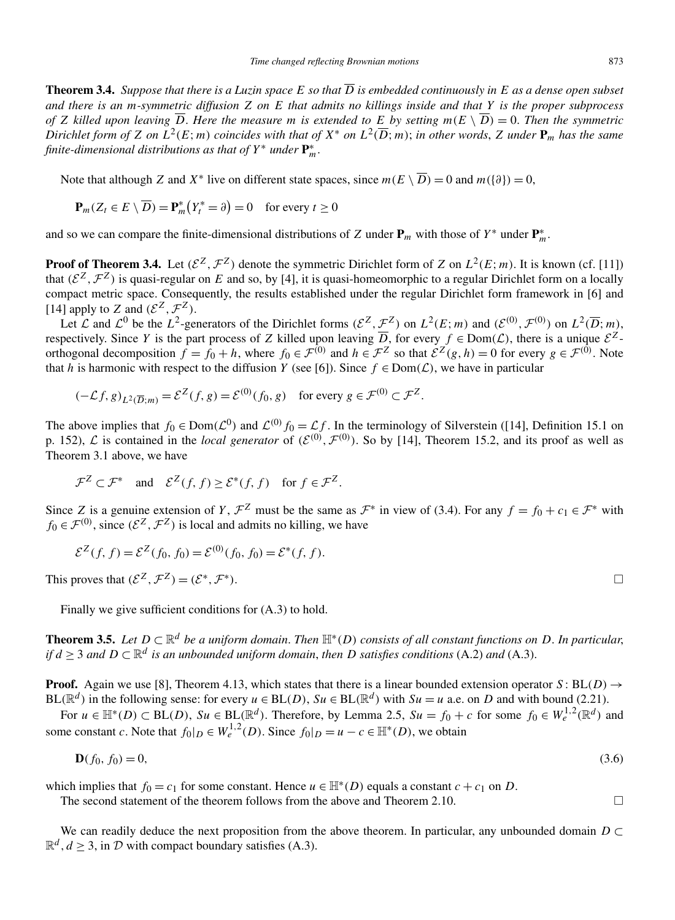**Theorem 3.4.** *Suppose that there is a Luzin space*  $E$  *so that*  $\overline{D}$  *is embedded continuously in*  $E$  *as a dense open subset and there is an m-symmetric diffusion Z on E that admits no killings inside and that Y is the proper subprocess of Z* killed upon leaving  $\overline{D}$ . Here the measure m is extended to *E* by setting  $m(E \setminus \overline{D}) = 0$ . Then the symmetric Dirichlet form of Z on  $L^2(E; m)$  coincides with that of  $X^*$  on  $L^2(\overline{D}; m)$ ; in other words, Z under  $P_m$  has the same *finite-dimensional distributions as that of Y*<sup>∗</sup> *under* **P**<sup>∗</sup> *m*.

Note that although *Z* and *X*<sup>∗</sup> live on different state spaces, since  $m(E \setminus \overline{D}) = 0$  and  $m({\delta}) = 0$ ,

$$
\mathbf{P}_m(Z_t \in E \setminus \overline{D}) = \mathbf{P}_m^* (Y_t^* = \partial) = 0 \quad \text{for every } t \ge 0
$$

and so we can compare the finite-dimensional distributions of *Z* under  $P_m$  with those of  $Y^*$  under  $P_m^*$ .

**Proof of Theorem 3.4.** Let  $(\mathcal{E}^Z, \mathcal{F}^Z)$  denote the symmetric Dirichlet form of *Z* on  $L^2(E; m)$ . It is known (cf. [11]) that  $(\mathcal{E}^Z, \mathcal{F}^Z)$  is quasi-regular on *E* and so, by [4], it is quasi-homeomorphic to a regular Dirichlet form on a locally compact metric space. Consequently, the results established under the regular Dirichlet form framework in [6] and [14] apply to *Z* and  $(\mathcal{E}^Z, \mathcal{F}^Z)$ .

Let L and  $\mathcal{L}^0$  be the L<sup>2</sup>-generators of the Dirichlet forms  $(\mathcal{E}^Z, \underline{\mathcal{F}}^Z)$  on  $L^2(E; m)$  and  $(\mathcal{E}^{(0)}, \mathcal{F}^{(0)})$  on  $L^2(\overline{D}; m)$ , respectively. Since *Y* is the part process of *Z* killed upon leaving  $\overline{D}$ , for every  $f \in Dom(L)$ , there is a unique  $\mathcal{E}^Z$ orthogonal decomposition  $f = f_0 + h$ , where  $f_0 \in \mathcal{F}^{(0)}$  and  $h \in \mathcal{F}^Z$  so that  $\mathcal{E}^Z(g, h) = 0$  for every  $g \in \mathcal{F}^{(0)}$ . Note that *h* is harmonic with respect to the diffusion *Y* (see [6]). Since  $f \in Dom(L)$ , we have in particular

$$
(-\mathcal{L}f, g)_{L^2(\overline{D}; m)} = \mathcal{E}^Z(f, g) = \mathcal{E}^{(0)}(f_0, g) \quad \text{for every } g \in \mathcal{F}^{(0)} \subset \mathcal{F}^Z.
$$

The above implies that  $f_0 \in \text{Dom}(\mathcal{L}^0)$  and  $\mathcal{L}^{(0)} f_0 = \mathcal{L} f$ . In the terminology of Silverstein ([14], Definition 15.1 on p. 152),  $\mathcal{L}$  is contained in the *local generator* of  $(\mathcal{E}^{(0)}, \mathcal{F}^{(0)})$ . So by [14], Theorem 15.2, and its proof as well as Theorem 3.1 above, we have

$$
\mathcal{F}^Z \subset \mathcal{F}^*
$$
 and  $\mathcal{E}^Z(f, f) \geq \mathcal{E}^*(f, f)$  for  $f \in \mathcal{F}^Z$ .

Since *Z* is a genuine extension of *Y*,  $\mathcal{F}^Z$  must be the same as  $\mathcal{F}^*$  in view of (3.4). For any  $f = f_0 + c_1 \in \mathcal{F}^*$  with  $f_0 \in \mathcal{F}^{(0)}$ , since  $(\mathcal{E}^Z, \mathcal{F}^Z)$  is local and admits no killing, we have

$$
\mathcal{E}^Z(f, f) = \mathcal{E}^Z(f_0, f_0) = \mathcal{E}^{(0)}(f_0, f_0) = \mathcal{E}^*(f, f).
$$

This proves that  $(\mathcal{E}^Z, \mathcal{F}^Z) = (\mathcal{E}^*, \mathcal{F}^*)$ .

Finally we give sufficient conditions for (A.3) to hold.

**Theorem 3.5.** *Let*  $D \subset \mathbb{R}^d$  *be a uniform domain. Then*  $\mathbb{H}^*(D)$  *consists of all constant functions on D. In particular, if*  $d \geq 3$  *and*  $D \subset \mathbb{R}^d$  *is an unbounded uniform domain, then D satisfies conditions* (A.2) *and* (A.3).

**Proof.** Again we use [8], Theorem 4.13, which states that there is a linear bounded extension operator  $S : BL(D) \rightarrow$ BL( $\mathbb{R}^d$ ) in the following sense: for every *u* ∈ BL(*D*), *Su* ∈ BL( $\mathbb{R}^d$ ) with *Su* = *u* a.e. on *D* and with bound (2.21).

For  $u \in \mathbb{H}^*(D) \subset BL(D)$ ,  $Su \in BL(\mathbb{R}^d)$ . Therefore, by Lemma 2.5,  $Su = f_0 + c$  for some  $f_0 \in W_e^{1,2}(\mathbb{R}^d)$  and some constant *c*. Note that  $f_0|_D \in W_e^{1,2}(D)$ . Since  $f_0|_D = u - c \in \mathbb{H}^*(D)$ , we obtain

$$
\mathbf{D}(f_0, f_0) = 0,\tag{3.6}
$$

which implies that  $f_0 = c_1$  for some constant. Hence  $u \in \mathbb{H}^*(D)$  equals a constant  $c + c_1$  on *D*.

The second statement of the theorem follows from the above and Theorem 2.10.  $\Box$ 

We can readily deduce the next proposition from the above theorem. In particular, any unbounded domain  $D \subset$  $\mathbb{R}^d$ ,  $d \geq 3$ , in D with compact boundary satisfies (A.3).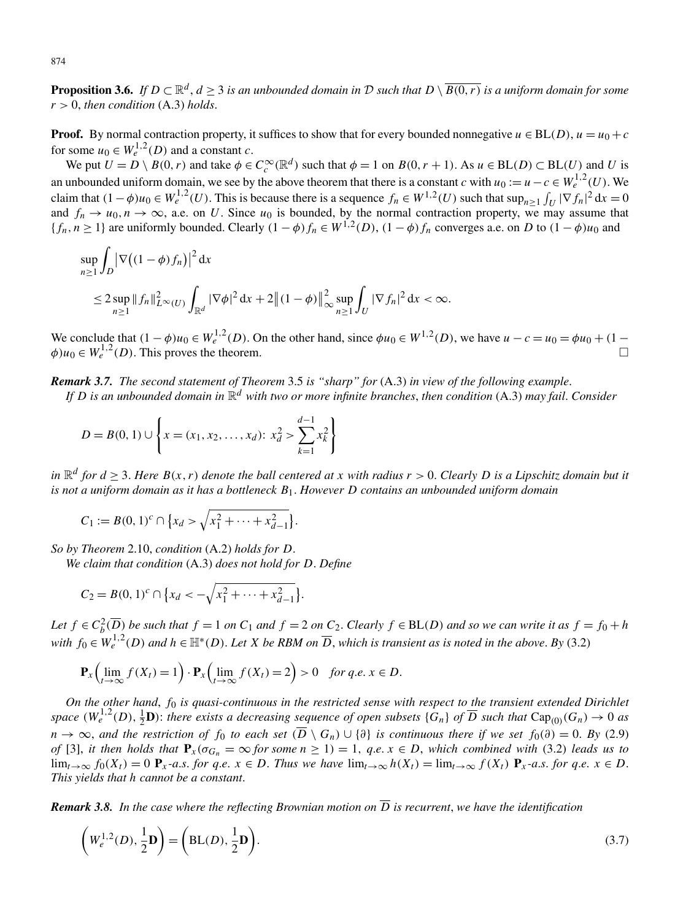**Proposition 3.6.** *If*  $D \subset \mathbb{R}^d$ ,  $d \geq 3$  *is an unbounded domain in*  $D$  *such that*  $D \setminus \overline{B(0,r)}$  *is a uniform domain for some*  $r > 0$ , *then condition* (A.3) *holds*.

**Proof.** By normal contraction property, it suffices to show that for every bounded nonnegative  $u \in BL(D)$ ,  $u = u_0 + c$ for some  $u_0 \in W^{1,2}_e(D)$  and a constant *c*.

We put  $U = D \setminus B(0, r)$  and take  $\phi \in C_c^{\infty}(\mathbb{R}^d)$  such that  $\phi = 1$  on  $B(0, r + 1)$ . As  $u \in BL(D) \subset BL(U)$  and U is an unbounded uniform domain, we see by the above theorem that there is a constant *c* with  $u_0 := u - c \in W_e^{1,2}(U)$ . We claim that  $(1 - \phi)u_0 \in W_e^{1,2}(U)$ . This is because there is a sequence  $f_n \in W^{1,2}(U)$  such that  $\sup_{n \ge 1} \int_U |\nabla f_n|^2 dx = 0$ and  $f_n \to u_0, n \to \infty$ , a.e. on *U*. Since  $u_0$  is bounded, by the normal contraction property, we may assume that  ${f_n, n ≥ 1}$  are uniformly bounded. Clearly  $(1 - \phi) f_n ∈ W^{1,2}(D)$ ,  $(1 - \phi) f_n$  converges a.e. on *D* to  $(1 - \phi)u_0$  and

$$
\sup_{n\geq 1} \int_{D} |\nabla ((1 - \phi) f_n)|^2 dx
$$
  
\n
$$
\leq 2 \sup_{n\geq 1} ||f_n||_{L^{\infty}(U)}^2 \int_{\mathbb{R}^d} |\nabla \phi|^2 dx + 2 ||(1 - \phi)||_{\infty}^2 \sup_{n\geq 1} \int_{U} |\nabla f_n|^2 dx < \infty.
$$

We conclude that  $(1 - φ)u_0 ∈ W_e^{1,2}(D)$ . On the other hand, since  $φu_0 ∈ W<sup>1,2</sup>(D)$ , we have  $u − c = u_0 = φu_0 + (1 −$  $\phi$ )u<sub>0</sub>  $\in W_e^{1,2}(D)$ . This proves the theorem.

*Remark 3.7. The second statement of Theorem* 3.5 *is "sharp" for* (A.3) *in view of the following example*. *If D is an unbounded domain in* R*<sup>d</sup> with two or more infinite branches*, *then condition* (A.3) *may fail*. *Consider*

$$
D = B(0, 1) \cup \left\{ x = (x_1, x_2, \dots, x_d) : x_d^2 > \sum_{k=1}^{d-1} x_k^2 \right\}
$$

*in*  $\mathbb{R}^d$  *for*  $d > 3$ *. Here*  $B(x, r)$  *denote the ball centered at x with radius*  $r > 0$ *. Clearly D is a Lipschitz domain but it is not a uniform domain as it has a bottleneck B*1. *However D contains an unbounded uniform domain*

$$
C_1 := B(0,1)^c \cap \{x_d > \sqrt{x_1^2 + \dots + x_{d-1}^2}\}.
$$

*So by Theorem* 2.10, *condition* (A.2) *holds for D*.

*We claim that condition* (A.3) *does not hold for D*. *Define*

$$
C_2 = B(0, 1)^c \cap \left\{ x_d < -\sqrt{x_1^2 + \dots + x_{d-1}^2} \right\}.
$$

Let  $f \in C_b^2(\overline{D})$  be such that  $f = 1$  on  $C_1$  and  $f = 2$  on  $C_2$ . Clearly  $f \in BL(D)$  and so we can write it as  $f = f_0 + h$ *with*  $f_0 \in W_e^{1,2}(D)$  *and*  $h \in H^*(D)$ . *Let X be RBM on*  $\overline{D}$ *, which is transient as is noted in the above. By* (3.2)

$$
\mathbf{P}_x\Big(\lim_{t\to\infty}f(X_t)=1\Big)\cdot\mathbf{P}_x\Big(\lim_{t\to\infty}f(X_t)=2\Big)>0\quad\text{for }q.e.\ x\in D.
$$

*On the other hand*, *f*<sup>0</sup> *is quasi-continuous in the restricted sense with respect to the transient extended Dirichlet space*  $(W_e^{1,2}(D), \frac{1}{2}D)$ : *there exists a decreasing sequence of open subsets*  $\{G_n\}$  *of*  $\overline{D}$  *such that*  $Cap_{(0)}(G_n) \to 0$  *as n* → ∞, *and the restriction of f*<sub>0</sub> *to each set*  $(\overline{D} \setminus G_n) \cup \{\partial\}$  *is continuous there if we set*  $f_0(\partial) = 0$ *. By* (2.9) *of* [3], *it then holds that*  $P_x(\sigma_{G_n} = \infty$  *for some*  $n \ge 1$ ) = 1, *q.e.*  $x \in D$ , *which combined with* (3.2) *leads us to*  $\lim_{t\to\infty} f_0(X_t) = 0$   $\mathbf{P}_x$ -a.s. for q.e.  $x \in D$ . Thus we have  $\lim_{t\to\infty} f(X_t) = \lim_{t\to\infty} f(X_t)$   $\mathbf{P}_x$ -a.s. for q.e.  $x \in D$ . *This yields that h cannot be a constant*.

*Remark 3.8.* In the case where the reflecting Brownian motion on  $\overline{D}$  is recurrent, we have the identification

$$
\left(W_e^{1,2}(D), \frac{1}{2}\mathbf{D}\right) = \left(\text{BL}(D), \frac{1}{2}\mathbf{D}\right). \tag{3.7}
$$